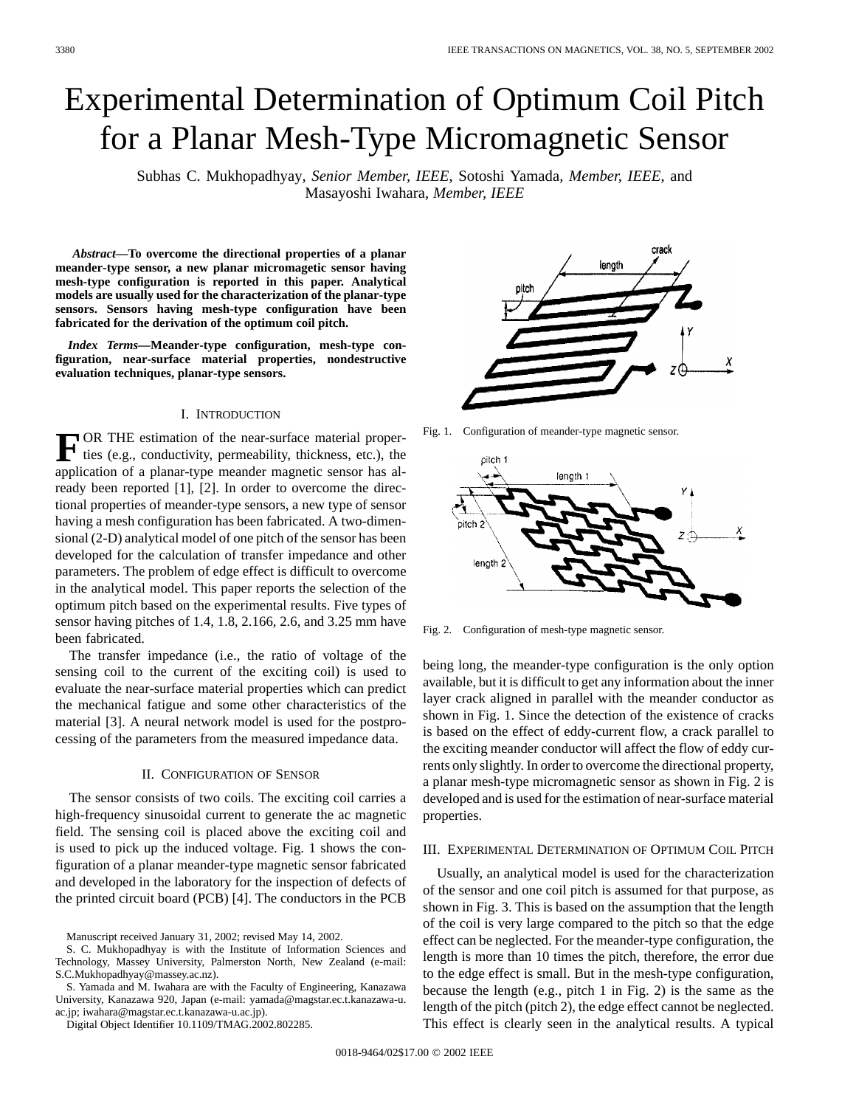# Experimental Determination of Optimum Coil Pitch for a Planar Mesh-Type Micromagnetic Sensor

Subhas C. Mukhopadhyay*, Senior Member, IEEE*, Sotoshi Yamada*, Member, IEEE*, and Masayoshi Iwahara*, Member, IEEE*

*Abstract—***To overcome the directional properties of a planar meander-type sensor, a new planar micromagetic sensor having mesh-type configuration is reported in this paper. Analytical models are usually used for the characterization of the planar-type sensors. Sensors having mesh-type configuration have been fabricated for the derivation of the optimum coil pitch.**

*Index Terms—***Meander-type configuration, mesh-type configuration, near-surface material properties, nondestructive evaluation techniques, planar-type sensors.**

# I. INTRODUCTION

**F** OR THE estimation of the near-surface material properties (e.g., conductivity, permeability, thickness, etc.), the application of a planar-type meander magnetic sensor has already been reported [1], [2]. In order to overcome the directional properties of meander-type sensors, a new type of sensor having a mesh configuration has been fabricated. A two-dimensional (2-D) analytical model of one pitch of the sensor has been developed for the calculation of transfer impedance and other parameters. The problem of edge effect is difficult to overcome in the analytical model. This paper reports the selection of the optimum pitch based on the experimental results. Five types of sensor having pitches of 1.4, 1.8, 2.166, 2.6, and 3.25 mm have been fabricated.

The transfer impedance (i.e., the ratio of voltage of the sensing coil to the current of the exciting coil) is used to evaluate the near-surface material properties which can predict the mechanical fatigue and some other characteristics of the material [3]. A neural network model is used for the postprocessing of the parameters from the measured impedance data.

## II. CONFIGURATION OF SENSOR

The sensor consists of two coils. The exciting coil carries a high-frequency sinusoidal current to generate the ac magnetic field. The sensing coil is placed above the exciting coil and is used to pick up the induced voltage. Fig. 1 shows the configuration of a planar meander-type magnetic sensor fabricated and developed in the laboratory for the inspection of defects of the printed circuit board (PCB) [4]. The conductors in the PCB

Manuscript received January 31, 2002; revised May 14, 2002.

S. Yamada and M. Iwahara are with the Faculty of Engineering, Kanazawa University, Kanazawa 920, Japan (e-mail: yamada@magstar.ec.t.kanazawa-u. ac.jp; iwahara@magstar.ec.t.kanazawa-u.ac.jp).

Digital Object Identifier 10.1109/TMAG.2002.802285.



Fig. 1. Configuration of meander-type magnetic sensor.



Fig. 2. Configuration of mesh-type magnetic sensor.

being long, the meander-type configuration is the only option available, but it is difficult to get any information about the inner layer crack aligned in parallel with the meander conductor as shown in Fig. 1. Since the detection of the existence of cracks is based on the effect of eddy-current flow, a crack parallel to the exciting meander conductor will affect the flow of eddy currents only slightly. In order to overcome the directional property, a planar mesh-type micromagnetic sensor as shown in Fig. 2 is developed and is used for the estimation of near-surface material properties.

### III. EXPERIMENTAL DETERMINATION OF OPTIMUM COIL PITCH

Usually, an analytical model is used for the characterization of the sensor and one coil pitch is assumed for that purpose, as shown in Fig. 3. This is based on the assumption that the length of the coil is very large compared to the pitch so that the edge effect can be neglected. For the meander-type configuration, the length is more than 10 times the pitch, therefore, the error due to the edge effect is small. But in the mesh-type configuration, because the length (e.g., pitch 1 in Fig. 2) is the same as the length of the pitch (pitch 2), the edge effect cannot be neglected. This effect is clearly seen in the analytical results. A typical

S. C. Mukhopadhyay is with the Institute of Information Sciences and Technology, Massey University, Palmerston North, New Zealand (e-mail: S.C.Mukhopadhyay@massey.ac.nz).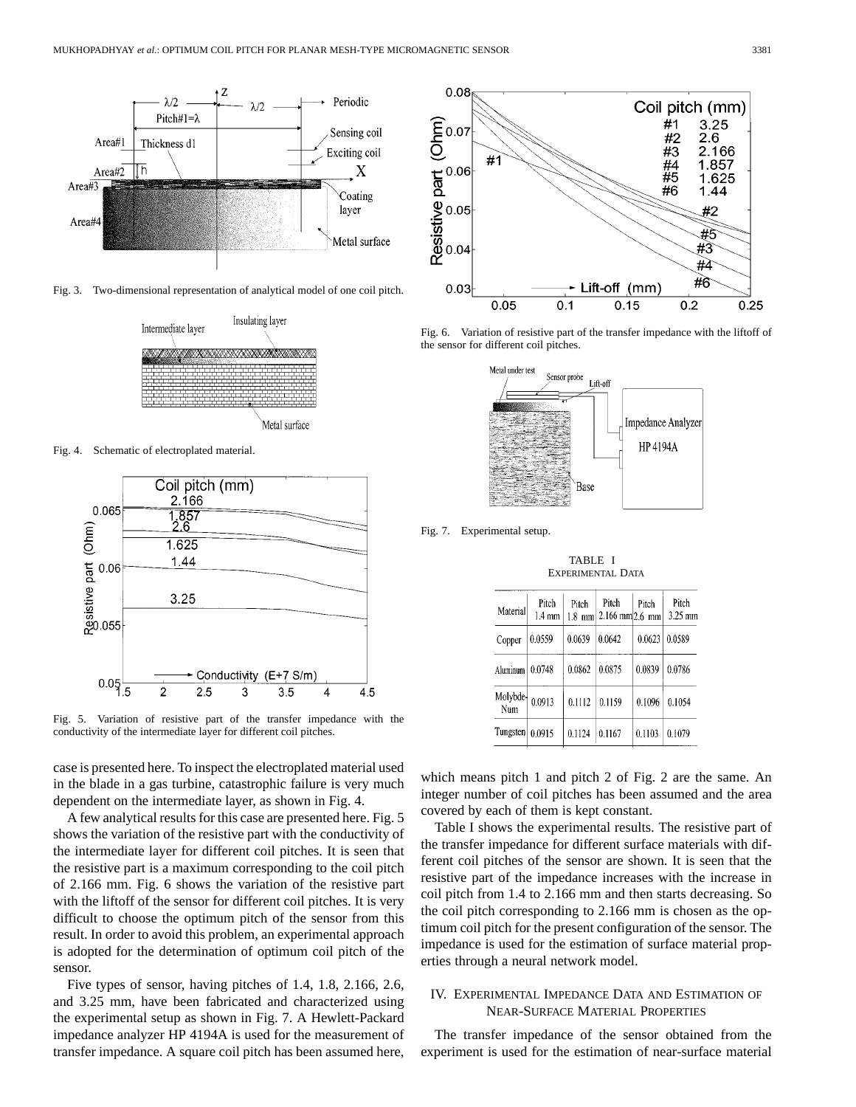

Fig. 3. Two-dimensional representation of analytical model of one coil pitch.



Fig. 4. Schematic of electroplated material.



Fig. 5. Variation of resistive part of the transfer impedance with the conductivity of the intermediate layer for different coil pitches.

case is presented here. To inspect the electroplated material used in the blade in a gas turbine, catastrophic failure is very much dependent on the intermediate layer, as shown in Fig. 4.

A few analytical results for this case are presented here. Fig. 5 shows the variation of the resistive part with the conductivity of the intermediate layer for different coil pitches. It is seen that the resistive part is a maximum corresponding to the coil pitch of 2.166 mm. Fig. 6 shows the variation of the resistive part with the liftoff of the sensor for different coil pitches. It is very difficult to choose the optimum pitch of the sensor from this result. In order to avoid this problem, an experimental approach is adopted for the determination of optimum coil pitch of the sensor.

Five types of sensor, having pitches of 1.4, 1.8, 2.166, 2.6, and 3.25 mm, have been fabricated and characterized using the experimental setup as shown in Fig. 7. A Hewlett-Packard impedance analyzer HP 4194A is used for the measurement of transfer impedance. A square coil pitch has been assumed here,



Fig. 6. Variation of resistive part of the transfer impedance with the liftoff of the sensor for different coil pitches.



Fig. 7. Experimental setup.

TABLE I EXPERIMENTAL DATA

| Material        | Pitch<br>1.4 mm | Pitch<br>$1.8$ mm | Pitch<br>$2.166$ mm $ 2.6$ mm | Pitch  | Pitch<br>3.25 mm |
|-----------------|-----------------|-------------------|-------------------------------|--------|------------------|
| Copper          | 0.0559          | 0.0639            | 0.0642                        | 0.0623 | 0.0589           |
| Aluminum        | 0.0748          | 0.0862            | 0.0875                        | 0.0839 | 0.0786           |
| Molybde-<br>Num | 0.0913          | 0.1112            | 0.1159                        | 0.1096 | 0.1054           |
| Tungsten        | 0.0915          | 0.1124            | 0.1167                        | 0.1103 | 0.1079           |

which means pitch 1 and pitch 2 of Fig. 2 are the same. An integer number of coil pitches has been assumed and the area covered by each of them is kept constant.

Table I shows the experimental results. The resistive part of the transfer impedance for different surface materials with different coil pitches of the sensor are shown. It is seen that the resistive part of the impedance increases with the increase in coil pitch from 1.4 to 2.166 mm and then starts decreasing. So the coil pitch corresponding to 2.166 mm is chosen as the optimum coil pitch for the present configuration of the sensor. The impedance is used for the estimation of surface material properties through a neural network model.

# IV. EXPERIMENTAL IMPEDANCE DATA AND ESTIMATION OF NEAR-SURFACE MATERIAL PROPERTIES

The transfer impedance of the sensor obtained from the experiment is used for the estimation of near-surface material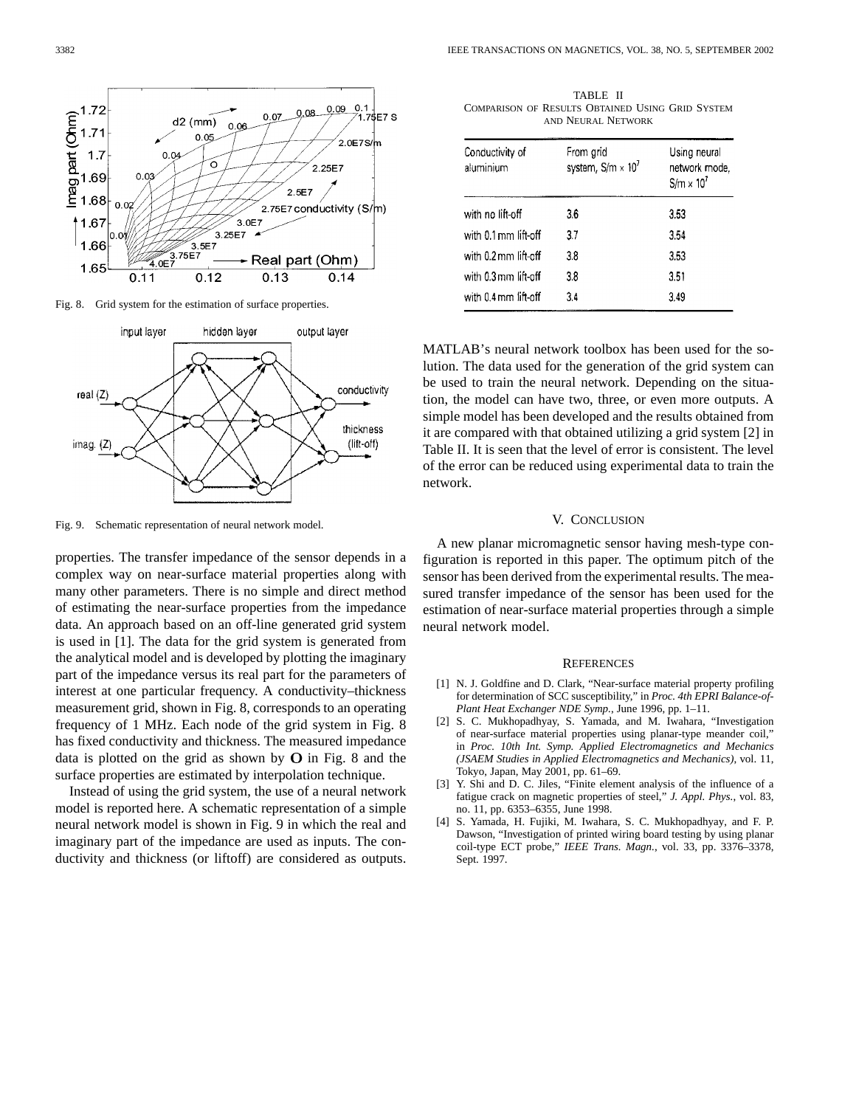

Fig. 8. Grid system for the estimation of surface properties.



Fig. 9. Schematic representation of neural network model.

properties. The transfer impedance of the sensor depends in a complex way on near-surface material properties along with many other parameters. There is no simple and direct method of estimating the near-surface properties from the impedance data. An approach based on an off-line generated grid system is used in [1]. The data for the grid system is generated from the analytical model and is developed by plotting the imaginary part of the impedance versus its real part for the parameters of interest at one particular frequency. A conductivity–thickness measurement grid, shown in Fig. 8, corresponds to an operating frequency of 1 MHz. Each node of the grid system in Fig. 8 has fixed conductivity and thickness. The measured impedance data is plotted on the grid as shown by  $O$  in Fig. 8 and the surface properties are estimated by interpolation technique.

Instead of using the grid system, the use of a neural network model is reported here. A schematic representation of a simple neural network model is shown in Fig. 9 in which the real and imaginary part of the impedance are used as inputs. The conductivity and thickness (or liftoff) are considered as outputs.

TABLE II COMPARISON OF RESULTS OBTAINED USING GRID SYSTEM AND NEURAL NETWORK

| Conductivity of<br>aluminium | From grid<br>system, $S/m \times 10^7$ | Using neural<br>network mode,<br>$S/m \times 10^{7}$ |  |
|------------------------------|----------------------------------------|------------------------------------------------------|--|
| with no lift-off             | 3.6                                    | 3.53                                                 |  |
| with 0.1 mm lift-off         | 3.7                                    | 3.54                                                 |  |
| with 0.2 mm lift-off         | 3.8                                    | 3.53                                                 |  |
| with 0.3 mm lift-off         | 3.8                                    | 3.51                                                 |  |
| with 0.4 mm lift-off         | 3.4                                    | 3.49                                                 |  |

MATLAB's neural network toolbox has been used for the solution. The data used for the generation of the grid system can be used to train the neural network. Depending on the situation, the model can have two, three, or even more outputs. A simple model has been developed and the results obtained from it are compared with that obtained utilizing a grid system [2] in Table II. It is seen that the level of error is consistent. The level of the error can be reduced using experimental data to train the network.

#### V. CONCLUSION

A new planar micromagnetic sensor having mesh-type configuration is reported in this paper. The optimum pitch of the sensor has been derived from the experimental results. The measured transfer impedance of the sensor has been used for the estimation of near-surface material properties through a simple neural network model.

#### **REFERENCES**

- [1] N. J. Goldfine and D. Clark, "Near-surface material property profiling for determination of SCC susceptibility," in *Proc. 4th EPRI Balance-of-Plant Heat Exchanger NDE Symp.*, June 1996, pp. 1–11.
- [2] S. C. Mukhopadhyay, S. Yamada, and M. Iwahara, "Investigation of near-surface material properties using planar-type meander coil," in *Proc. 10th Int. Symp. Applied Electromagnetics and Mechanics (JSAEM Studies in Applied Electromagnetics and Mechanics)*, vol. 11, Tokyo, Japan, May 2001, pp. 61–69.
- [3] Y. Shi and D. C. Jiles, "Finite element analysis of the influence of a fatigue crack on magnetic properties of steel," *J. Appl. Phys.*, vol. 83, no. 11, pp. 6353–6355, June 1998.
- [4] S. Yamada, H. Fujiki, M. Iwahara, S. C. Mukhopadhyay, and F. P. Dawson, "Investigation of printed wiring board testing by using planar coil-type ECT probe," *IEEE Trans. Magn.*, vol. 33, pp. 3376–3378, Sept. 1997.